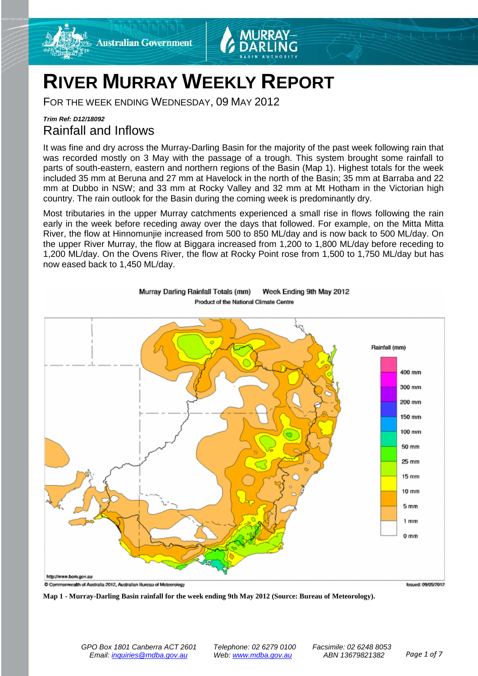



# **RIVER MURRAY WEEKLY REPORT**

FOR THE WEEK ENDING WEDNESDAY, 09 MAY 2012

## *Trim Ref: D12/18092* Rainfall and Inflows

It was fine and dry across the Murray-Darling Basin for the majority of the past week following rain that was recorded mostly on 3 May with the passage of a trough. This system brought some rainfall to parts of south-eastern, eastern and northern regions of the Basin (Map 1). Highest totals for the week included 35 mm at Beruna and 27 mm at Havelock in the north of the Basin; 35 mm at Barraba and 22 mm at Dubbo in NSW; and 33 mm at Rocky Valley and 32 mm at Mt Hotham in the Victorian high country. The rain outlook for the Basin during the coming week is predominantly dry.

Most tributaries in the upper Murray catchments experienced a small rise in flows following the rain early in the week before receding away over the days that followed. For example, on the Mitta Mitta River, the flow at Hinnomunjie increased from 500 to 850 ML/day and is now back to 500 ML/day. On the upper River Murray, the flow at Biggara increased from 1,200 to 1,800 ML/day before receding to 1,200 ML/day. On the Ovens River, the flow at Rocky Point rose from 1,500 to 1,750 ML/day but has now eased back to 1,450 ML/day.



Week Ending 9th May 2012 Murray Darling Rainfall Totals (mm) Product of the National Climate Centre

**Map 1 - Murray-Darling Basin rainfall for the week ending 9th May 2012 (Source: Bureau of Meteorology).**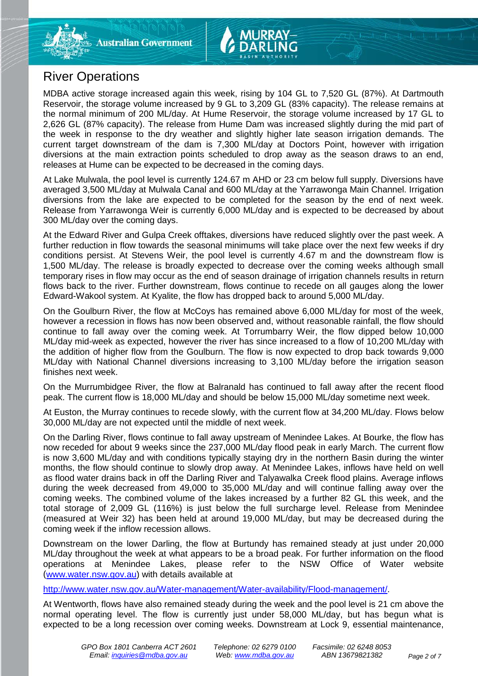

MDBA active storage increased again this week, rising by 104 GL to 7,520 GL (87%). At Dartmouth Reservoir, the storage volume increased by 9 GL to 3,209 GL (83% capacity). The release remains at the normal minimum of 200 ML/day. At Hume Reservoir, the storage volume increased by 17 GL to 2,626 GL (87% capacity). The release from Hume Dam was increased slightly during the mid part of the week in response to the dry weather and slightly higher late season irrigation demands. The current target downstream of the dam is 7,300 ML/day at Doctors Point, however with irrigation diversions at the main extraction points scheduled to drop away as the season draws to an end, releases at Hume can be expected to be decreased in the coming days.

At Lake Mulwala, the pool level is currently 124.67 m AHD or 23 cm below full supply. Diversions have averaged 3,500 ML/day at Mulwala Canal and 600 ML/day at the Yarrawonga Main Channel. Irrigation diversions from the lake are expected to be completed for the season by the end of next week. Release from Yarrawonga Weir is currently 6,000 ML/day and is expected to be decreased by about 300 ML/day over the coming days.

At the Edward River and Gulpa Creek offtakes, diversions have reduced slightly over the past week. A further reduction in flow towards the seasonal minimums will take place over the next few weeks if dry conditions persist. At Stevens Weir, the pool level is currently 4.67 m and the downstream flow is 1,500 ML/day. The release is broadly expected to decrease over the coming weeks although small temporary rises in flow may occur as the end of season drainage of irrigation channels results in return flows back to the river. Further downstream, flows continue to recede on all gauges along the lower Edward-Wakool system. At Kyalite, the flow has dropped back to around 5,000 ML/day.

On the Goulburn River, the flow at McCoys has remained above 6,000 ML/day for most of the week, however a recession in flows has now been observed and, without reasonable rainfall, the flow should continue to fall away over the coming week. At Torrumbarry Weir, the flow dipped below 10,000 ML/day mid-week as expected, however the river has since increased to a flow of 10,200 ML/day with the addition of higher flow from the Goulburn. The flow is now expected to drop back towards 9,000 ML/day with National Channel diversions increasing to 3,100 ML/day before the irrigation season finishes next week.

On the Murrumbidgee River, the flow at Balranald has continued to fall away after the recent flood peak. The current flow is 18,000 ML/day and should be below 15,000 ML/day sometime next week.

At Euston, the Murray continues to recede slowly, with the current flow at 34,200 ML/day. Flows below 30,000 ML/day are not expected until the middle of next week.

On the Darling River, flows continue to fall away upstream of Menindee Lakes. At Bourke, the flow has now receded for about 9 weeks since the 237,000 ML/day flood peak in early March. The current flow is now 3,600 ML/day and with conditions typically staying dry in the northern Basin during the winter months, the flow should continue to slowly drop away. At Menindee Lakes, inflows have held on well as flood water drains back in off the Darling River and Talyawalka Creek flood plains. Average inflows during the week decreased from 49,000 to 35,000 ML/day and will continue falling away over the coming weeks. The combined volume of the lakes increased by a further 82 GL this week, and the total storage of 2,009 GL (116%) is just below the full surcharge level. Release from Menindee (measured at Weir 32) has been held at around 19,000 ML/day, but may be decreased during the coming week if the inflow recession allows.

Downstream on the lower Darling, the flow at Burtundy has remained steady at just under 20,000 ML/day throughout the week at what appears to be a broad peak. For further information on the flood operations at Menindee Lakes, please refer to the NSW Office of Water website [\(www.water.nsw.gov.au\)](http://www.water.nsw.gov.au/) with details available at

[http://www.water.nsw.gov.au/Water-management/Water-availability/Flood-management/.](http://www.water.nsw.gov.au/Water-management/Water-availability/Flood-management/)

At Wentworth, flows have also remained steady during the week and the pool level is 21 cm above the normal operating level. The flow is currently just under 58,000 ML/day, but has begun what is expected to be a long recession over coming weeks. Downstream at Lock 9, essential maintenance,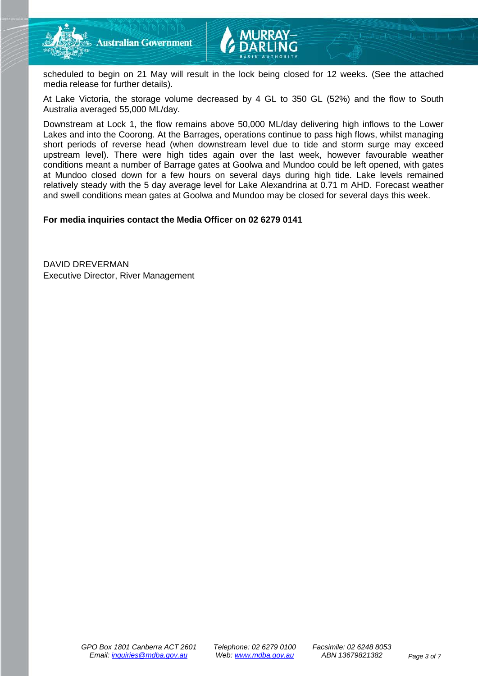

scheduled to begin on 21 May will result in the lock being closed for 12 weeks. (See the attached media release for further details).

At Lake Victoria, the storage volume decreased by 4 GL to 350 GL (52%) and the flow to South Australia averaged 55,000 ML/day.

Downstream at Lock 1, the flow remains above 50,000 ML/day delivering high inflows to the Lower Lakes and into the Coorong. At the Barrages, operations continue to pass high flows, whilst managing short periods of reverse head (when downstream level due to tide and storm surge may exceed upstream level). There were high tides again over the last week, however favourable weather conditions meant a number of Barrage gates at Goolwa and Mundoo could be left opened, with gates at Mundoo closed down for a few hours on several days during high tide. Lake levels remained relatively steady with the 5 day average level for Lake Alexandrina at 0.71 m AHD. Forecast weather and swell conditions mean gates at Goolwa and Mundoo may be closed for several days this week.

**For media inquiries contact the Media Officer on 02 6279 0141**

DAVID DREVERMAN Executive Director, River Management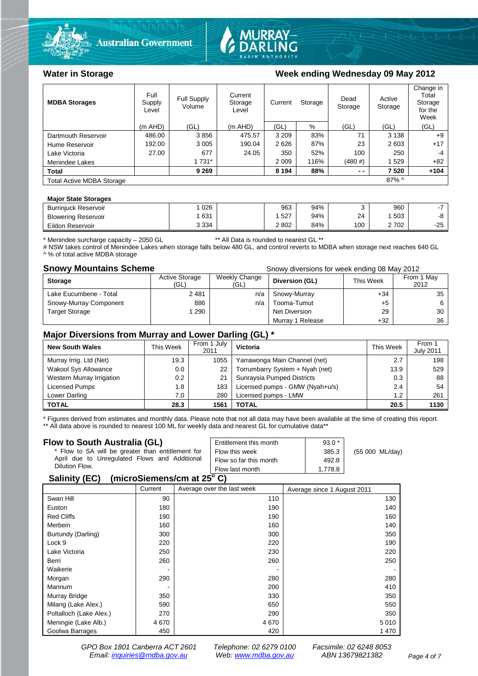



#### Water in Storage **Water in Storage Week ending Wednesday 09 May 2012**

| <b>MDBA Storages</b>             | Full<br>Supply<br>Level | <b>Full Supply</b><br>Volume | Current<br>Storage<br>Level | Current<br>Storage |      | Dead<br>Storage | Active<br>Storage | Change in<br>Total<br>Storage<br>for the<br>Week |
|----------------------------------|-------------------------|------------------------------|-----------------------------|--------------------|------|-----------------|-------------------|--------------------------------------------------|
|                                  | $(m$ AHD)               | (GL)                         | (m AHD)                     | (GL)               | %    | (GL)            | (GL)              | (GL)                                             |
| Dartmouth Reservoir              | 486.00                  | 3856                         | 475.57                      | 3 2 0 9            | 83%  | 71              | 3 1 3 8           | $+9$                                             |
| Hume Reservoir                   | 192.00                  | 3 0 0 5                      | 190.04                      | 2626               | 87%  | 23              | 2603              | $+17$                                            |
| Lake Victoria                    | 27.00                   | 677                          | 24.05                       | 350                | 52%  | 100             | 250               | $-4$                                             |
| Menindee Lakes                   |                         | 1 731*                       |                             | 2 0 0 9            | 116% | $(480 \#)$      | 529               | $+82$                                            |
| <b>Total</b>                     |                         | 9 2 6 9                      |                             | 8 1 9 4            | 88%  | $ -$            | 7 5 20            | $+104$                                           |
| <b>Total Active MDBA Storage</b> |                         |                              |                             |                    |      |                 | $87\%$ ^          |                                                  |

#### **Major State Storages**

| <b>Burrinjuck Reservoir</b> | 026     | 963   | 94% |     | 960  |       |
|-----------------------------|---------|-------|-----|-----|------|-------|
| <b>Blowering Reservoir</b>  | 631     | 527   | 94% | 24  | 503  |       |
| Eildon Reservoir            | 3 3 3 4 | 2 802 | 84% | 100 | 2702 | $-25$ |

\* Menindee surcharge capacity – 2050 GL \*\* All Data is rounded to nearest GL \*\*

# NSW takes control of Menindee Lakes when storage falls below 480 GL, and control reverts to MDBA when storage next reaches 640 GL ^ % of total active MDBA storage

**Snowy Mountains Scheme Snowy diversions for week ending 08 May 2012** 

| <b>Storage</b>         | <b>Active Storage</b><br>(GL) | Weekly Change<br>(GL) | Diversion (GL)   | This Week | From 1 May<br>2012 |
|------------------------|-------------------------------|-----------------------|------------------|-----------|--------------------|
| Lake Eucumbene - Total | 2481                          | n/a                   | Snowy-Murray     | $+34$     | 35                 |
| Snowy-Murray Component | 886                           | n/a                   | Tooma-Tumut      | +5        |                    |
| <b>Target Storage</b>  | 290                           |                       | Net Diversion    | 29        | 30                 |
|                        |                               |                       | Murray 1 Release | $+32$     | 36                 |

#### **Major Diversions from Murray and Lower Darling (GL) \***

| <b>New South Wales</b>    | This Week | From 1 July<br>2011 | Victoria                        | This Week | From 1<br><b>July 2011</b> |
|---------------------------|-----------|---------------------|---------------------------------|-----------|----------------------------|
| Murray Irrig. Ltd (Net)   | 19.3      | 1055                | Yarrawonga Main Channel (net)   | 2.7       | 198                        |
| Wakool Sys Allowance      | 0.0       | 22                  | Torrumbarry System + Nyah (net) | 13.9      | 529                        |
| Western Murray Irrigation | 0.2       | 21                  | Sunraysia Pumped Districts      | 0.3       | 88                         |
| Licensed Pumps            | 1.8       | 183                 | Licensed pumps - GMW (Nyah+u/s) | 2.4       | 54                         |
| Lower Darling             | 7.0       | 280                 | Licensed pumps - LMW            | 1.2       | 261                        |
| <b>TOTAL</b>              | 28.3      | 1561                | TOTAL                           | 20.5      | 1130                       |

\* Figures derived from estimates and monthly data. Please note that not all data may have been available at the time of creating this report. \*\* All data above is rounded to nearest 100 ML for weekly data and nearest GL for cumulative data\*\*

#### **Flow to South Australia (GL)**

| Flow to South Australia (GL)<br>* Flow to SA will be greater than entitlement for<br>April due to Unregulated Flows and Additional<br>Dilution Flow. | Entitlement this month<br>Flow this week<br>Flow so far this month | $93.0*$<br>385.3<br>492.8 | (55 000 ML/day) |
|------------------------------------------------------------------------------------------------------------------------------------------------------|--------------------------------------------------------------------|---------------------------|-----------------|
|                                                                                                                                                      | Flow last month                                                    | 1.778.8                   |                 |
| $\frac{1}{2}$<br>0.11111001                                                                                                                          |                                                                    |                           |                 |

#### **Salinity (EC) (microSiemens/cm at 25o C)**

|                         | Current | Average over the last week | Average since 1 August 2011 |
|-------------------------|---------|----------------------------|-----------------------------|
| Swan Hill               | 90      | 110                        | 130                         |
| Euston                  | 180     | 190                        | 140                         |
| <b>Red Cliffs</b>       | 190     | 190                        | 160                         |
| Merbein                 | 160     | 160                        | 140                         |
| Burtundy (Darling)      | 300     | 300                        | 350                         |
| Lock 9                  | 220     | 220                        | 190                         |
| Lake Victoria           | 250     | 230                        | 220                         |
| Berri                   | 260     | 260                        | 250                         |
| Waikerie                |         |                            |                             |
| Morgan                  | 290     | 280                        | 280                         |
| Mannum                  |         | 200                        | 410                         |
| Murray Bridge           | 350     | 330                        | 350                         |
| Milang (Lake Alex.)     | 590     | 650                        | 550                         |
| Poltalloch (Lake Alex.) | 270     | 290                        | 350                         |
| Meningie (Lake Alb.)    | 4670    | 4670                       | 5 0 1 0                     |
| Goolwa Barrages         | 450     | 420                        | 1470                        |

*GPO Box 1801 Canberra ACT 2601 Telephone: 02 6279 0100 Facsimile: 02 6248 8053 Email: [inquiries@mdba.gov.au](mailto:inquiries@mdba.gov.au) Web: [www.mdba.gov.au](http://www.mdba.gov.au/) ABN 13679821382 Page 4 of 7*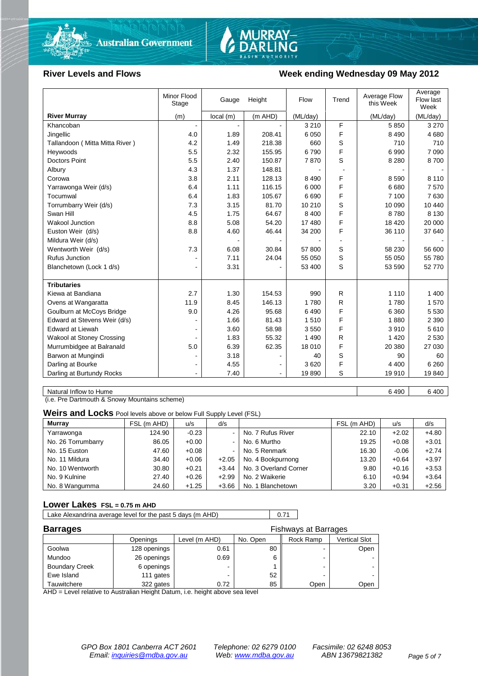



#### River Levels and Flows **Week ending Wednesday 09 May 2012**

|                                  | Minor Flood<br>Stage | Gauge    | Height  | Flow     | Trend | Average Flow<br>this Week | Average<br>Flow last<br>Week |
|----------------------------------|----------------------|----------|---------|----------|-------|---------------------------|------------------------------|
| <b>River Murray</b>              | (m)                  | local(m) | (m AHD) | (ML/day) |       | (ML/day)                  | (ML/day)                     |
| Khancoban                        |                      |          |         | 3 2 1 0  | F     | 5850                      | 3 2 7 0                      |
| Jingellic                        | 4.0                  | 1.89     | 208.41  | 6 0 5 0  | F     | 8 4 9 0                   | 4 6 8 0                      |
| Tallandoon (Mitta Mitta River)   | 4.2                  | 1.49     | 218.38  | 660      | S     | 710                       | 710                          |
| Heywoods                         | 5.5                  | 2.32     | 155.95  | 6790     | F     | 6990                      | 7 0 9 0                      |
| <b>Doctors Point</b>             | 5.5                  | 2.40     | 150.87  | 7870     | S     | 8 2 8 0                   | 8700                         |
| Albury                           | 4.3                  | 1.37     | 148.81  |          |       |                           |                              |
| Corowa                           | 3.8                  | 2.11     | 128.13  | 8 4 9 0  | F     | 8 5 9 0                   | 8 1 1 0                      |
| Yarrawonga Weir (d/s)            | 6.4                  | 1.11     | 116.15  | 6 0 0 0  | F     | 6680                      | 7570                         |
| Tocumwal                         | 6.4                  | 1.83     | 105.67  | 6690     | F     | 7 100                     | 7630                         |
| Torrumbarry Weir (d/s)           | 7.3                  | 3.15     | 81.70   | 10 210   | S     | 10 090                    | 10 440                       |
| Swan Hill                        | 4.5                  | 1.75     | 64.67   | 8 4 0 0  | F     | 8780                      | 8 1 3 0                      |
| <b>Wakool Junction</b>           | 8.8                  | 5.08     | 54.20   | 17 480   | F     | 18 4 20                   | 20 000                       |
| Euston Weir (d/s)                | 8.8                  | 4.60     | 46.44   | 34 200   | F     | 36 110                    | 37 640                       |
| Mildura Weir (d/s)               |                      |          |         |          |       |                           |                              |
| Wentworth Weir (d/s)             | 7.3                  | 6.08     | 30.84   | 57 800   | S     | 58 230                    | 56 600                       |
| <b>Rufus Junction</b>            |                      | 7.11     | 24.04   | 55 050   | S     | 55 050                    | 55 780                       |
| Blanchetown (Lock 1 d/s)         | $\blacksquare$       | 3.31     |         | 53 400   | S     | 53 590                    | 52 770                       |
|                                  |                      |          |         |          |       |                           |                              |
| <b>Tributaries</b>               |                      |          |         |          |       |                           |                              |
| Kiewa at Bandiana                | 2.7                  | 1.30     | 154.53  | 990      | R     | 1 1 1 0                   | 1 400                        |
| Ovens at Wangaratta              | 11.9                 | 8.45     | 146.13  | 1780     | R     | 1780                      | 1570                         |
| Goulburn at McCoys Bridge        | 9.0                  | 4.26     | 95.68   | 6490     | F     | 6 3 6 0                   | 5 5 3 0                      |
| Edward at Stevens Weir (d/s)     |                      | 1.66     | 81.43   | 1510     | F     | 1880                      | 2 3 9 0                      |
| <b>Edward at Liewah</b>          |                      | 3.60     | 58.98   | 3550     | F     | 3910                      | 5610                         |
| <b>Wakool at Stoney Crossing</b> |                      | 1.83     | 55.32   | 1 4 9 0  | R     | 1 4 2 0                   | 2 5 3 0                      |
| Murrumbidgee at Balranald        | 5.0                  | 6.39     | 62.35   | 18 010   | F     | 20 380                    | 27 030                       |
| Barwon at Mungindi               |                      | 3.18     |         | 40       | S     | 90                        | 60                           |
| Darling at Bourke                | $\blacksquare$       | 4.55     |         | 3620     | F     | 4 4 0 0                   | 6 2 6 0                      |
| Darling at Burtundy Rocks        |                      | 7.40     |         | 19890    | S     | 19910                     | 19840                        |

Natural Inflow to Hume 6 400 6 400 6 400 6 400 6 400 6 400 6 400 6 400 6 400 6 400 6 400 6 400 6 400 6 400 6 40

(i.e. Pre Dartmouth & Snowy Mountains scheme)

**Weirs and Locks** Pool levels above or below Full Supply Level (FSL)

| <b>Murray</b>      | FSL (m AHD) | u/s     | d/s            |                       | FSL (m AHD) | u/s     | d/s     |
|--------------------|-------------|---------|----------------|-----------------------|-------------|---------|---------|
| Yarrawonga         | 124.90      | $-0.23$ | $\sim$         | No. 7 Rufus River     | 22.10       | $+2.02$ | $+4.80$ |
| No. 26 Torrumbarry | 86.05       | $+0.00$ | $\sim$         | No. 6 Murtho          | 19.25       | $+0.08$ | $+3.01$ |
| No. 15 Euston      | 47.60       | $+0.08$ | $\blacksquare$ | No. 5 Renmark         | 16.30       | $-0.06$ | $+2.74$ |
| No. 11 Mildura     | 34.40       | $+0.06$ | $+2.05$        | No. 4 Bookpurnong     | 13.20       | $+0.64$ | $+3.97$ |
| No. 10 Wentworth   | 30.80       | $+0.21$ | $+3.44$        | No. 3 Overland Corner | 9.80        | $+0.16$ | $+3.53$ |
| No. 9 Kulnine      | 27.40       | $+0.26$ | $+2.99$        | No. 2 Waikerie        | 6.10        | $+0.94$ | $+3.64$ |
| No. 8 Wangumma     | 24.60       | $+1.25$ | $+3.66$        | No. 1 Blanchetown     | 3.20        | $+0.31$ | $+2.56$ |

#### **Lower Lakes FSL = 0.75 m AHD**

Lake Alexandrina average level for the past 5 days (m AHD) 0.71

| <b>Barrages</b>       |              | <b>Fishways at Barrages</b> |          |           |               |  |  |
|-----------------------|--------------|-----------------------------|----------|-----------|---------------|--|--|
|                       | Openings     | Level (m AHD)               | No. Open | Rock Ramp | Vertical Slot |  |  |
| Goolwa                | 128 openings | 0.61                        | 80       |           | Open          |  |  |
| Mundoo                | 26 openings  | 0.69                        |          | -         |               |  |  |
| <b>Boundary Creek</b> | 6 openings   |                             |          | -         |               |  |  |
| Ewe Island            | 111 gates    |                             | 52       |           |               |  |  |
| Tauwitchere           | 322 gates    | 0.72                        | 85       | Open      | Open          |  |  |

AHD = Level relative to Australian Height Datum, i.e. height above sea level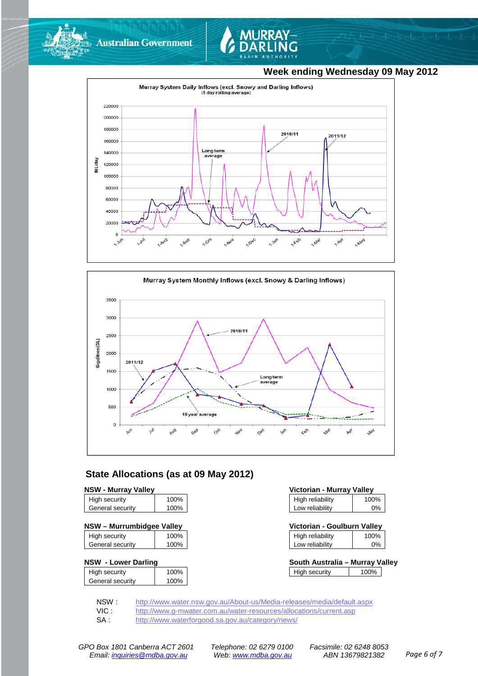

**Australian Government** 



### **Week ending Wednesday 09 May 2012**





#### **State Allocations (as at 09 May 2012)**

#### **NSW - Murray Valley**

| High security    | 100% |
|------------------|------|
| General security | 100% |
|                  |      |

#### **NSW – Murrumbidgee Valley Victorian - Goulburn Valley**

| High security    | 100% |
|------------------|------|
| General security | 100% |

#### **NSW - Lower Darling South Australia – Murray Valley**

|                  | 100% |
|------------------|------|
| High security    |      |
| General security | 100% |
|                  |      |

| Victorian - Murray Valley |      |  |  |  |
|---------------------------|------|--|--|--|
| High reliability          | 100% |  |  |  |
| Low reliability           | 0%   |  |  |  |

| Victorian - Goulburn Valley |       |  |  |  |
|-----------------------------|-------|--|--|--|
| High reliability            | 100%  |  |  |  |
| Low reliability             | $0\%$ |  |  |  |

| eliabilitv | 0% |  |
|------------|----|--|
|            |    |  |
|            |    |  |

| South Australia – Murrav Vallev |      |  |  |  |
|---------------------------------|------|--|--|--|
| High security                   | 100% |  |  |  |

NSW : <http://www.water.nsw.gov.au/About-us/Media-releases/media/default.aspx><br>VIC : http://www.g-mwater.com.au/water-resources/allocations/current.asp VIC : <http://www.g-mwater.com.au/water-resources/allocations/current.asp><br>SA : http://www.waterforgood.sa.gov.au/category/news/

<http://www.waterforgood.sa.gov.au/category/news/>